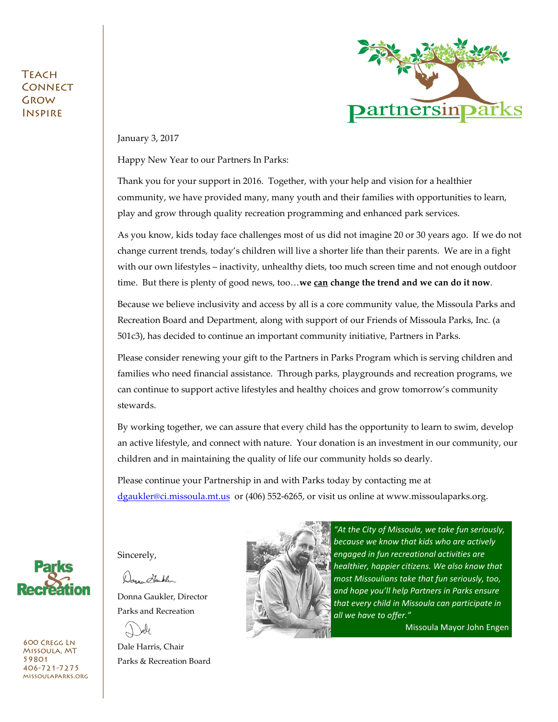#### **TEACH CONNECT** Grow Inspire



January 3, 2017

Happy New Year to our Partners In Parks:

Thank you for your support in 2016. Together, with your help and vision for a healthier community, we have provided many, many youth and their families with opportunities to learn, play and grow through quality recreation programming and enhanced park services.

As you know, kids today face challenges most of us did not imagine 20 or 30 years ago. If we do not change current trends, today's children will live a shorter life than their parents. We are in a fight with our own lifestyles – inactivity, unhealthy diets, too much screen time and not enough outdoor time. But there is plenty of good news, too…**we can change the trend and we can do it now**.

Because we believe inclusivity and access by all is a core community value, the Missoula Parks and Recreation Board and Department, along with support of our Friends of Missoula Parks, Inc. (a 501c3), has decided to continue an important community initiative, Partners in Parks.

Please consider renewing your gift to the Partners in Parks Program which is serving children and families who need financial assistance. Through parks, playgrounds and recreation programs, we can continue to support active lifestyles and healthy choices and grow tomorrow's community stewards.

By working together, we can assure that every child has the opportunity to learn to swim, develop an active lifestyle, and connect with nature. Your donation is an investment in our community, our children and in maintaining the quality of life our community holds so dearly.

Please continue your Partnership in and with Parks today by contacting me at [dgaukler@ci.missoula.mt.us](mailto:dgaukler@ci.missoula.mt.us) or (406) 552-6265, or visit us online at www.missoulaparks.org.



600 Cregg Ln Missoula, MT 59801 406-721-7275 missoulaparks.org Sincerely,

Donne Hauklin

Donna Gaukler, Director Parks and Recreation

æle

Dale Harris, Chair Parks & Recreation Board



*"At the City of Missoula, we take fun seriously, because we know that kids who are actively engaged in fun recreational activities are healthier, happier citizens. We also know that most Missoulians take that fun seriously, too, and hope you'll help Partners in Parks ensure that every child in Missoula can participate in all we have to offer."*

Missoula Mayor John Engen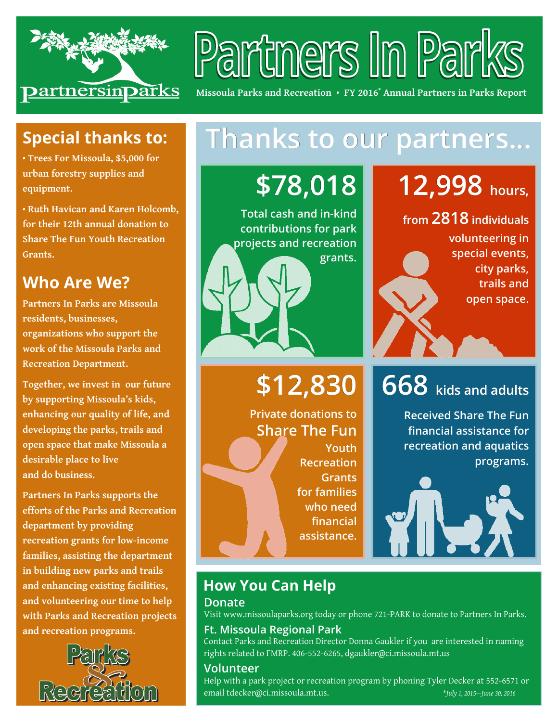

# Partners In Park

**Missoula Parks and Recreation** • **FY 2016\* Annual Partners in Parks Report** 

### **Special thanks to:**

**• Trees For Missoula, \$5,000 for urban forestry supplies and equipment.** 

**• Ruth Havican and Karen Holcomb, for their 12th annual donation to Share The Fun Youth Recreation Grants.** 

### **Who Are We?**

**Partners In Parks are Missoula residents, businesses, organizations who support the work of the Missoula Parks and Recreation Department.** 

**Together, we invest in our future by supporting Missoula's kids, enhancing our quality of life, and developing the parks, trails and open space that make Missoula a desirable place to live and do business.** 

**Partners In Parks supports the efforts of the Parks and Recreation department by providing recreation grants for low-income families, assisting the department in building new parks and trails and enhancing existing facilities, and volunteering our time to help with Parks and Recreation projects and recreation programs.** 



# **Thanks to our partners... partners...**

**\$78,018**

**Total cash and in-kind contributions for park projects and recreation grants.** 

# **\$12,830**

**Private donations to Share The Fun Youth Recreation Grants for families who need financial assistance.**

# **12,998 hours,**

**from 2818 individuals individuals** 

**volunteering in special events, city parks, trails and open space.** 

# **668 kids and adults and adults**

**Received Share The Fun financial assistance for recreation and aquatics programs.** 



## **How You Can Help**

#### **Donate**

Visit www.missoulaparks.org today or phone 721-PARK to donate to Partners In Parks.

#### **Ft. Missoula Regional Park**

Contact Parks and Recreation Director Donna Gaukler if you are interested in naming rights related to FMRP. 406-552-6265, dgaukler@ci.missoula.mt.us

#### **Volunteer**

Help with a park project or recreation program by phoning Tyler Decker at 552-6571 or email tdecker@ci.missoula.mt.us. \**July 1, 2015—June 30, 2016*